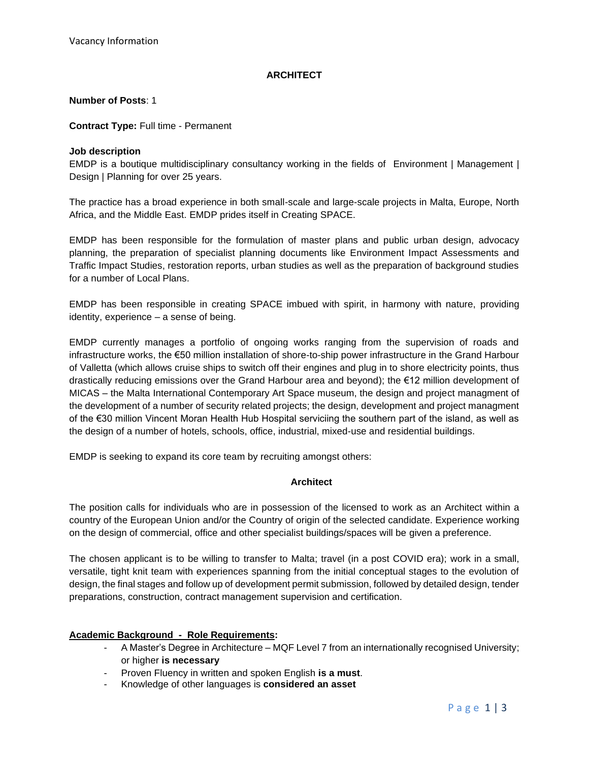# **ARCHITECT**

## **Number of Posts**: 1

## **Contract Type:** Full time - Permanent

## **Job description**

EMDP is a boutique multidisciplinary consultancy working in the fields of Environment | Management | Design | Planning for over 25 years.

The practice has a broad experience in both small-scale and large-scale projects in Malta, Europe, North Africa, and the Middle East. EMDP prides itself in Creating SPACE.

EMDP has been responsible for the formulation of master plans and public urban design, advocacy planning, the preparation of specialist planning documents like Environment Impact Assessments and Traffic Impact Studies, restoration reports, urban studies as well as the preparation of background studies for a number of Local Plans.

EMDP has been responsible in creating SPACE imbued with spirit, in harmony with nature, providing identity, experience – a sense of being.

EMDP currently manages a portfolio of ongoing works ranging from the supervision of roads and infrastructure works, the €50 million installation of shore-to-ship power infrastructure in the Grand Harbour of Valletta (which allows cruise ships to switch off their engines and plug in to shore electricity points, thus drastically reducing emissions over the Grand Harbour area and beyond); the €12 million development of MICAS – the Malta International Contemporary Art Space museum, the design and project managment of the development of a number of security related projects; the design, development and project managment of the €30 million Vincent Moran Health Hub Hospital serviciing the southern part of the island, as well as the design of a number of hotels, schools, office, industrial, mixed-use and residential buildings.

EMDP is seeking to expand its core team by recruiting amongst others:

# **Architect**

The position calls for individuals who are in possession of the licensed to work as an Architect within a country of the European Union and/or the Country of origin of the selected candidate. Experience working on the design of commercial, office and other specialist buildings/spaces will be given a preference.

The chosen applicant is to be willing to transfer to Malta; travel (in a post COVID era); work in a small, versatile, tight knit team with experiences spanning from the initial conceptual stages to the evolution of design, the final stages and follow up of development permit submission, followed by detailed design, tender preparations, construction, contract management supervision and certification.

# **Academic Background - Role Requirements:**

- A Master's Degree in Architecture MQF Level 7 from an internationally recognised University; or higher **is necessary**
- Proven Fluency in written and spoken English **is a must**.
- Knowledge of other languages is **considered an asset**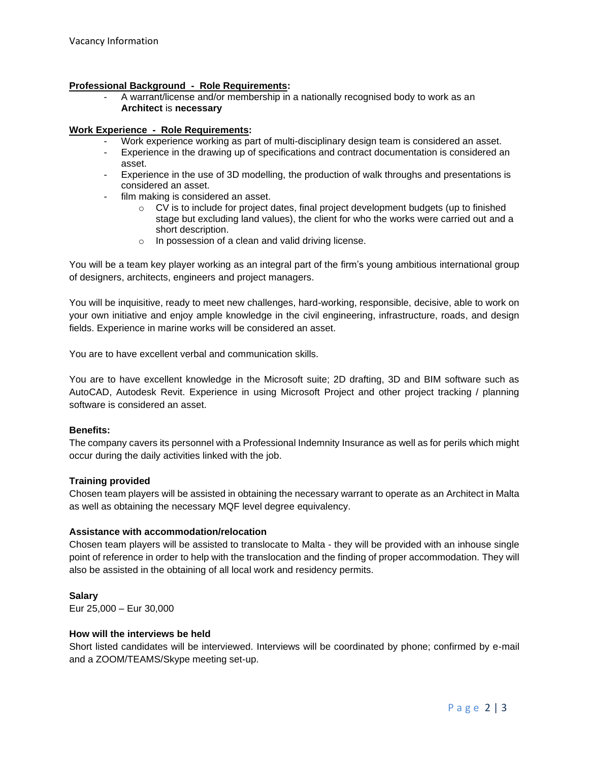#### **Professional Background - Role Requirements:**

- A warrant/license and/or membership in a nationally recognised body to work as an **Architect** is **necessary**

## **Work Experience - Role Requirements:**

- Work experience working as part of multi-disciplinary design team is considered an asset.
- Experience in the drawing up of specifications and contract documentation is considered an asset.
- Experience in the use of 3D modelling, the production of walk throughs and presentations is considered an asset.
- film making is considered an asset.
	- $\circ$  CV is to include for project dates, final project development budgets (up to finished stage but excluding land values), the client for who the works were carried out and a short description.
	- o In possession of a clean and valid driving license.

You will be a team key player working as an integral part of the firm's young ambitious international group of designers, architects, engineers and project managers.

You will be inquisitive, ready to meet new challenges, hard-working, responsible, decisive, able to work on your own initiative and enjoy ample knowledge in the civil engineering, infrastructure, roads, and design fields. Experience in marine works will be considered an asset.

You are to have excellent verbal and communication skills.

You are to have excellent knowledge in the Microsoft suite; 2D drafting, 3D and BIM software such as AutoCAD, Autodesk Revit. Experience in using Microsoft Project and other project tracking / planning software is considered an asset.

#### **Benefits:**

The company cavers its personnel with a Professional Indemnity Insurance as well as for perils which might occur during the daily activities linked with the job.

# **Training provided**

Chosen team players will be assisted in obtaining the necessary warrant to operate as an Architect in Malta as well as obtaining the necessary MQF level degree equivalency.

#### **Assistance with accommodation/relocation**

Chosen team players will be assisted to translocate to Malta - they will be provided with an inhouse single point of reference in order to help with the translocation and the finding of proper accommodation. They will also be assisted in the obtaining of all local work and residency permits.

**Salary** Eur 25,000 – Eur 30,000

#### **How will the interviews be held**

Short listed candidates will be interviewed. Interviews will be coordinated by phone; confirmed by e-mail and a ZOOM/TEAMS/Skype meeting set-up.